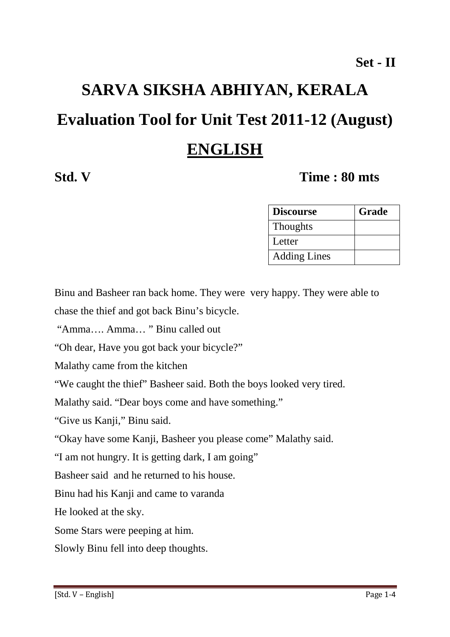# **SARVA SIKSHA ABHIYAN, KERALA Evaluation Tool for Unit Test 2011-12 (August) ENGLISH**

# **Std. V Time : 80 mts**

| <b>Discourse</b>    | Grade |
|---------------------|-------|
| <b>Thoughts</b>     |       |
| Letter              |       |
| <b>Adding Lines</b> |       |

Binu and Basheer ran back home. They were very happy. They were able to chase the thief and got back Binu's bicycle.

"Amma…. Amma… " Binu called out

"Oh dear, Have you got back your bicycle?"

Malathy came from the kitchen

"We caught the thief" Basheer said. Both the boys looked very tired.

Malathy said. "Dear boys come and have something."

"Give us Kanji," Binu said.

"Okay have some Kanji, Basheer you please come" Malathy said.

"I am not hungry. It is getting dark, I am going"

Basheer said and he returned to his house.

Binu had his Kanji and came to varanda

He looked at the sky.

Some Stars were peeping at him.

Slowly Binu fell into deep thoughts.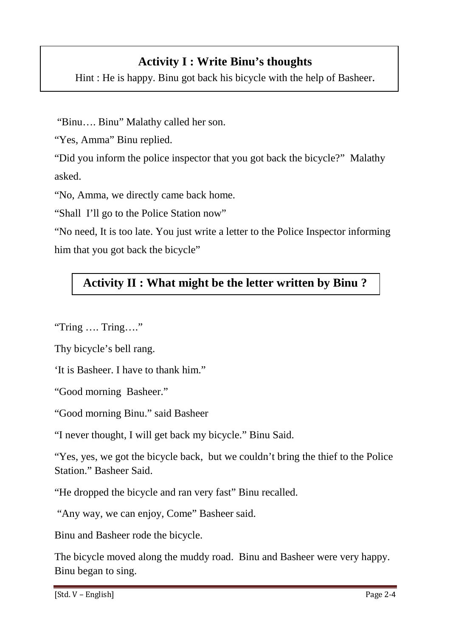# **Activity I : Write Binu's thoughts**

Hint : He is happy. Binu got back his bicycle with the help of Basheer.

"Binu…. Binu" Malathy called her son.

"Yes, Amma" Binu replied.

"Did you inform the police inspector that you got back the bicycle?" Malathy asked.

"No, Amma, we directly came back home.

"Shall I'll go to the Police Station now"

"No need, It is too late. You just write a letter to the Police Inspector informing him that you got back the bicycle"

# **Activity II : What might be the letter written by Binu ?**

"Tring …. Tring…."

Thy bicycle's bell rang.

'It is Basheer. I have to thank him."

"Good morning Basheer."

"Good morning Binu." said Basheer

"I never thought, I will get back my bicycle." Binu Said.

"Yes, yes, we got the bicycle back, but we couldn't bring the thief to the Police Station." Basheer Said.

"He dropped the bicycle and ran very fast" Binu recalled.

"Any way, we can enjoy, Come" Basheer said.

Binu and Basheer rode the bicycle.

The bicycle moved along the muddy road. Binu and Basheer were very happy. Binu began to sing.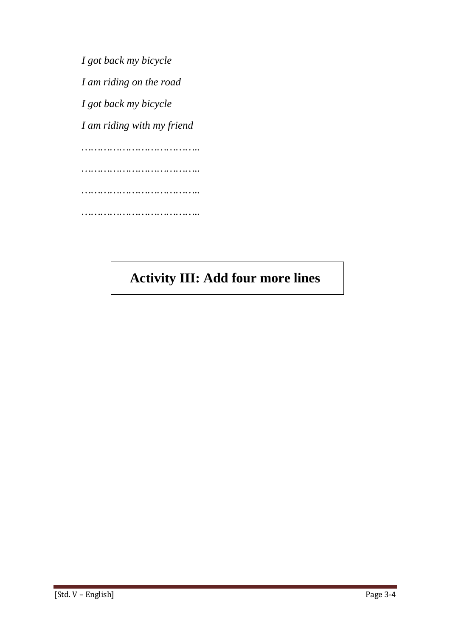*I got back my bicycle I am riding on the road I got back my bicycle I am riding with my friend ……………………………….. ……………………………….. ……………………………….. ………………………………..* 

# **Activity III: Add four more lines**